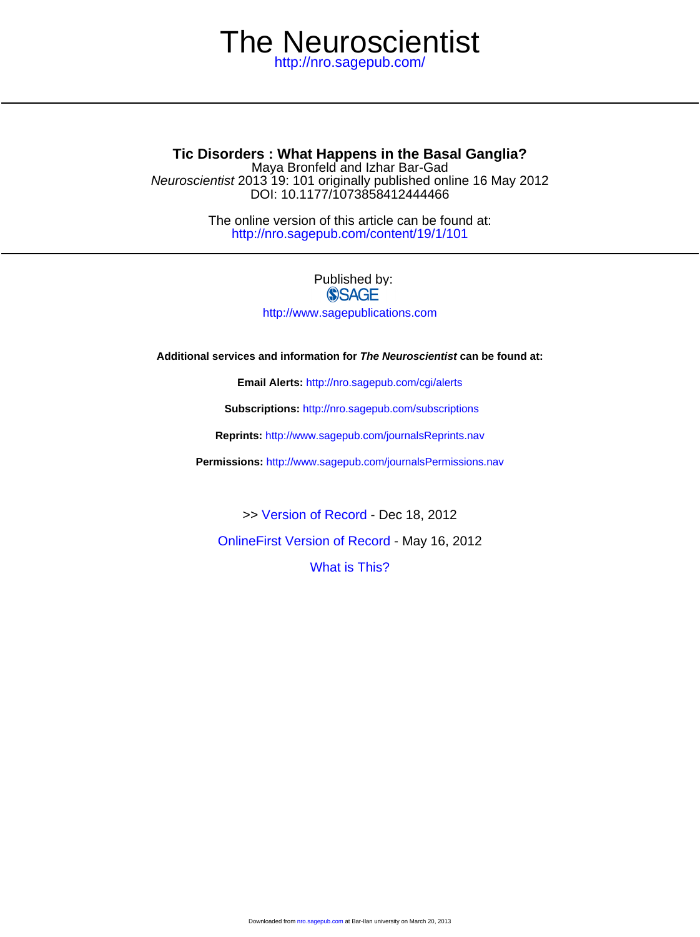# <http://nro.sagepub.com/> The Neuroscientist

DOI: 10.1177/1073858412444466 Neuroscientist 2013 19: 101 originally published online 16 May 2012 Maya Bronfeld and Izhar Bar-Gad **Tic Disorders : What Happens in the Basal Ganglia?**

> <http://nro.sagepub.com/content/19/1/101> The online version of this article can be found at:

# Published by: **SSAGE**

<http://www.sagepublications.com>

**Additional services and information for The Neuroscientist can be found at:**

**Email Alerts:** <http://nro.sagepub.com/cgi/alerts>

**Subscriptions:** <http://nro.sagepub.com/subscriptions>

**Reprints:** <http://www.sagepub.com/journalsReprints.nav>

**Permissions:** <http://www.sagepub.com/journalsPermissions.nav>

>> [Version of Record -](http://nro.sagepub.com/content/19/1/101.full.pdf) Dec 18, 2012

[OnlineFirst Version of Record -](http://nro.sagepub.com/content/early/2012/05/15/1073858412444466.full.pdf) May 16, 2012

[What is This?](http://online.sagepub.com/site/sphelp/vorhelp.xhtml)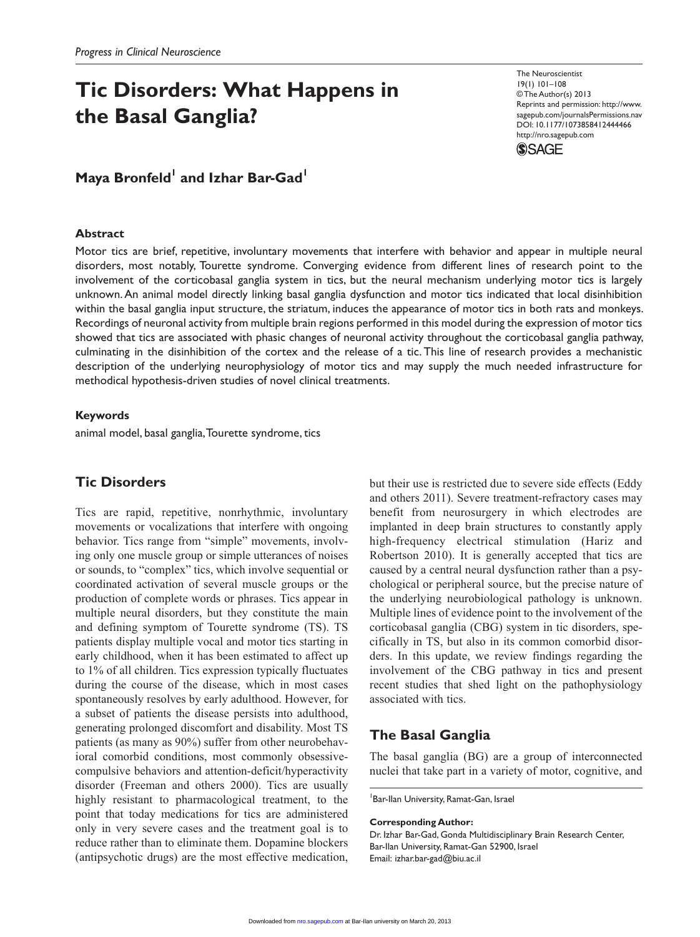# **Tic Disorders: What Happens in the Basal Ganglia?**

The Neuroscientist 19(1) 101–108 © The Author(s) 2013 Reprints and permission: http://www. sagepub.com/journalsPermissions.nav DOI: 10.1177/1073858412444466 http://nro.sagepub.com



# Maya Bronfeld<sup>1</sup> and Izhar Bar-Gad<sup>1</sup>

### **Abstract**

Motor tics are brief, repetitive, involuntary movements that interfere with behavior and appear in multiple neural disorders, most notably, Tourette syndrome. Converging evidence from different lines of research point to the involvement of the corticobasal ganglia system in tics, but the neural mechanism underlying motor tics is largely unknown. An animal model directly linking basal ganglia dysfunction and motor tics indicated that local disinhibition within the basal ganglia input structure, the striatum, induces the appearance of motor tics in both rats and monkeys. Recordings of neuronal activity from multiple brain regions performed in this model during the expression of motor tics showed that tics are associated with phasic changes of neuronal activity throughout the corticobasal ganglia pathway, culminating in the disinhibition of the cortex and the release of a tic. This line of research provides a mechanistic description of the underlying neurophysiology of motor tics and may supply the much needed infrastructure for methodical hypothesis-driven studies of novel clinical treatments.

### **Keywords**

animal model, basal ganglia, Tourette syndrome, tics

# **Tic Disorders**

Tics are rapid, repetitive, nonrhythmic, involuntary movements or vocalizations that interfere with ongoing behavior. Tics range from "simple" movements, involving only one muscle group or simple utterances of noises or sounds, to "complex" tics, which involve sequential or coordinated activation of several muscle groups or the production of complete words or phrases. Tics appear in multiple neural disorders, but they constitute the main and defining symptom of Tourette syndrome (TS). TS patients display multiple vocal and motor tics starting in early childhood, when it has been estimated to affect up to 1% of all children. Tics expression typically fluctuates during the course of the disease, which in most cases spontaneously resolves by early adulthood. However, for a subset of patients the disease persists into adulthood, generating prolonged discomfort and disability. Most TS patients (as many as 90%) suffer from other neurobehavioral comorbid conditions, most commonly obsessivecompulsive behaviors and attention-deficit/hyperactivity disorder (Freeman and others 2000). Tics are usually highly resistant to pharmacological treatment, to the point that today medications for tics are administered only in very severe cases and the treatment goal is to reduce rather than to eliminate them. Dopamine blockers (antipsychotic drugs) are the most effective medication,

but their use is restricted due to severe side effects (Eddy and others 2011). Severe treatment-refractory cases may benefit from neurosurgery in which electrodes are implanted in deep brain structures to constantly apply high-frequency electrical stimulation (Hariz and Robertson 2010). It is generally accepted that tics are caused by a central neural dysfunction rather than a psychological or peripheral source, but the precise nature of the underlying neurobiological pathology is unknown. Multiple lines of evidence point to the involvement of the corticobasal ganglia (CBG) system in tic disorders, specifically in TS, but also in its common comorbid disorders. In this update, we review findings regarding the involvement of the CBG pathway in tics and present recent studies that shed light on the pathophysiology associated with tics.

## **The Basal Ganglia**

The basal ganglia (BG) are a group of interconnected nuclei that take part in a variety of motor, cognitive, and

<sup>1</sup> Bar-Ilan University, Ramat-Gan, Israel

#### **Corresponding Author:**

Dr. Izhar Bar-Gad, Gonda Multidisciplinary Brain Research Center, Bar-Ilan University, Ramat-Gan 52900, Israel Email: izhar.bar-gad@biu.ac.il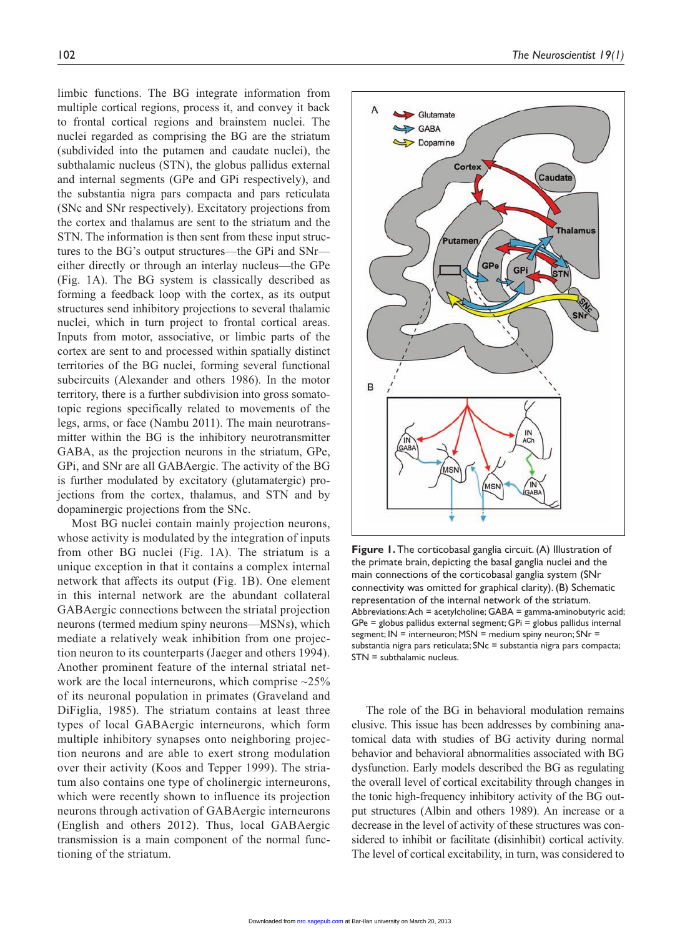limbic functions. The BG integrate information from multiple cortical regions, process it, and convey it back to frontal cortical regions and brainstem nuclei. The nuclei regarded as comprising the BG are the striatum (subdivided into the putamen and caudate nuclei), the subthalamic nucleus (STN), the globus pallidus external and internal segments (GPe and GPi respectively), and the substantia nigra pars compacta and pars reticulata (SNc and SNr respectively). Excitatory projections from the cortex and thalamus are sent to the striatum and the STN. The information is then sent from these input structures to the BG's output structures—the GPi and SNr either directly or through an interlay nucleus—the GPe (Fig. 1A). The BG system is classically described as forming a feedback loop with the cortex, as its output structures send inhibitory projections to several thalamic nuclei, which in turn project to frontal cortical areas. Inputs from motor, associative, or limbic parts of the cortex are sent to and processed within spatially distinct territories of the BG nuclei, forming several functional subcircuits (Alexander and others 1986). In the motor territory, there is a further subdivision into gross somatotopic regions specifically related to movements of the legs, arms, or face (Nambu 2011). The main neurotransmitter within the BG is the inhibitory neurotransmitter GABA, as the projection neurons in the striatum, GPe, GPi, and SNr are all GABAergic. The activity of the BG is further modulated by excitatory (glutamatergic) projections from the cortex, thalamus, and STN and by dopaminergic projections from the SNc.

Most BG nuclei contain mainly projection neurons, whose activity is modulated by the integration of inputs from other BG nuclei (Fig. 1A). The striatum is a unique exception in that it contains a complex internal network that affects its output (Fig. 1B). One element in this internal network are the abundant collateral GABAergic connections between the striatal projection neurons (termed medium spiny neurons—MSNs), which mediate a relatively weak inhibition from one projection neuron to its counterparts (Jaeger and others 1994). Another prominent feature of the internal striatal network are the local interneurons, which comprise  $\sim$ 25% of its neuronal population in primates (Graveland and DiFiglia, 1985). The striatum contains at least three types of local GABAergic interneurons, which form multiple inhibitory synapses onto neighboring projection neurons and are able to exert strong modulation over their activity (Koos and Tepper 1999). The striatum also contains one type of cholinergic interneurons, which were recently shown to influence its projection neurons through activation of GABAergic interneurons (English and others 2012). Thus, local GABAergic transmission is a main component of the normal functioning of the striatum.



**Figure 1.** The corticobasal ganglia circuit. (A) Illustration of the primate brain, depicting the basal ganglia nuclei and the main connections of the corticobasal ganglia system (SNr connectivity was omitted for graphical clarity). (B) Schematic representation of the internal network of the striatum. Abbreviations: Ach = acetylcholine; GABA = gamma-aminobutyric acid; GPe = globus pallidus external segment; GPi = globus pallidus internal segment; IN = interneuron; MSN = medium spiny neuron; SNr = substantia nigra pars reticulata; SNc = substantia nigra pars compacta; STN = subthalamic nucleus.

The role of the BG in behavioral modulation remains elusive. This issue has been addresses by combining anatomical data with studies of BG activity during normal behavior and behavioral abnormalities associated with BG dysfunction. Early models described the BG as regulating the overall level of cortical excitability through changes in the tonic high-frequency inhibitory activity of the BG output structures (Albin and others 1989). An increase or a decrease in the level of activity of these structures was considered to inhibit or facilitate (disinhibit) cortical activity. The level of cortical excitability, in turn, was considered to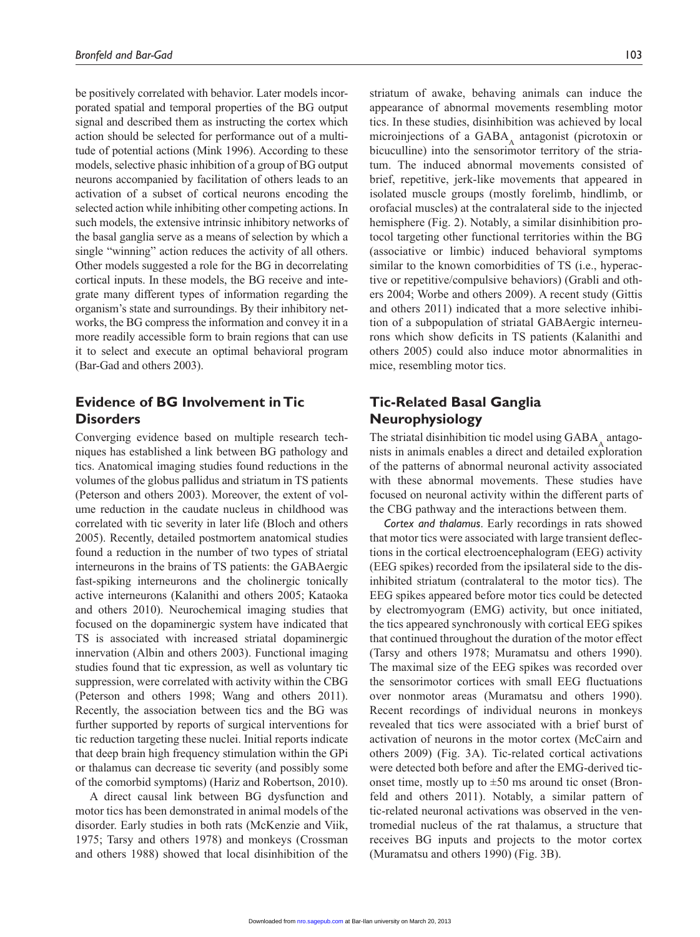be positively correlated with behavior. Later models incorporated spatial and temporal properties of the BG output signal and described them as instructing the cortex which action should be selected for performance out of a multitude of potential actions (Mink 1996). According to these models, selective phasic inhibition of a group of BG output neurons accompanied by facilitation of others leads to an activation of a subset of cortical neurons encoding the selected action while inhibiting other competing actions. In such models, the extensive intrinsic inhibitory networks of the basal ganglia serve as a means of selection by which a single "winning" action reduces the activity of all others. Other models suggested a role for the BG in decorrelating cortical inputs. In these models, the BG receive and integrate many different types of information regarding the organism's state and surroundings. By their inhibitory networks, the BG compress the information and convey it in a more readily accessible form to brain regions that can use it to select and execute an optimal behavioral program (Bar-Gad and others 2003).

# **Evidence of BG Involvement in Tic Disorders**

Converging evidence based on multiple research techniques has established a link between BG pathology and tics. Anatomical imaging studies found reductions in the volumes of the globus pallidus and striatum in TS patients (Peterson and others 2003). Moreover, the extent of volume reduction in the caudate nucleus in childhood was correlated with tic severity in later life (Bloch and others 2005). Recently, detailed postmortem anatomical studies found a reduction in the number of two types of striatal interneurons in the brains of TS patients: the GABAergic fast-spiking interneurons and the cholinergic tonically active interneurons (Kalanithi and others 2005; Kataoka and others 2010). Neurochemical imaging studies that focused on the dopaminergic system have indicated that TS is associated with increased striatal dopaminergic innervation (Albin and others 2003). Functional imaging studies found that tic expression, as well as voluntary tic suppression, were correlated with activity within the CBG (Peterson and others 1998; Wang and others 2011). Recently, the association between tics and the BG was further supported by reports of surgical interventions for tic reduction targeting these nuclei. Initial reports indicate that deep brain high frequency stimulation within the GPi or thalamus can decrease tic severity (and possibly some of the comorbid symptoms) (Hariz and Robertson, 2010).

A direct causal link between BG dysfunction and motor tics has been demonstrated in animal models of the disorder. Early studies in both rats (McKenzie and Viik, 1975; Tarsy and others 1978) and monkeys (Crossman and others 1988) showed that local disinhibition of the striatum of awake, behaving animals can induce the appearance of abnormal movements resembling motor tics. In these studies, disinhibition was achieved by local microinjections of a  $GABA$ <sub> $\Delta$ </sub> antagonist (picrotoxin or bicuculline) into the sensorimotor territory of the striatum. The induced abnormal movements consisted of brief, repetitive, jerk-like movements that appeared in isolated muscle groups (mostly forelimb, hindlimb, or orofacial muscles) at the contralateral side to the injected hemisphere (Fig. 2). Notably, a similar disinhibition protocol targeting other functional territories within the BG (associative or limbic) induced behavioral symptoms similar to the known comorbidities of TS (i.e., hyperactive or repetitive/compulsive behaviors) (Grabli and others 2004; Worbe and others 2009). A recent study (Gittis and others 2011) indicated that a more selective inhibition of a subpopulation of striatal GABAergic interneurons which show deficits in TS patients (Kalanithi and others 2005) could also induce motor abnormalities in mice, resembling motor tics.

# **Tic-Related Basal Ganglia Neurophysiology**

The striatal disinhibition tic model using  $GABA$ <sub> $\lambda$ </sub> antagonists in animals enables a direct and detailed exploration of the patterns of abnormal neuronal activity associated with these abnormal movements. These studies have focused on neuronal activity within the different parts of the CBG pathway and the interactions between them.

*Cortex and thalamus*. Early recordings in rats showed that motor tics were associated with large transient deflections in the cortical electroencephalogram (EEG) activity (EEG spikes) recorded from the ipsilateral side to the disinhibited striatum (contralateral to the motor tics). The EEG spikes appeared before motor tics could be detected by electromyogram (EMG) activity, but once initiated, the tics appeared synchronously with cortical EEG spikes that continued throughout the duration of the motor effect (Tarsy and others 1978; Muramatsu and others 1990). The maximal size of the EEG spikes was recorded over the sensorimotor cortices with small EEG fluctuations over nonmotor areas (Muramatsu and others 1990). Recent recordings of individual neurons in monkeys revealed that tics were associated with a brief burst of activation of neurons in the motor cortex (McCairn and others 2009) (Fig. 3A). Tic-related cortical activations were detected both before and after the EMG-derived ticonset time, mostly up to  $\pm 50$  ms around tic onset (Bronfeld and others 2011). Notably, a similar pattern of tic-related neuronal activations was observed in the ventromedial nucleus of the rat thalamus, a structure that receives BG inputs and projects to the motor cortex (Muramatsu and others 1990) (Fig. 3B).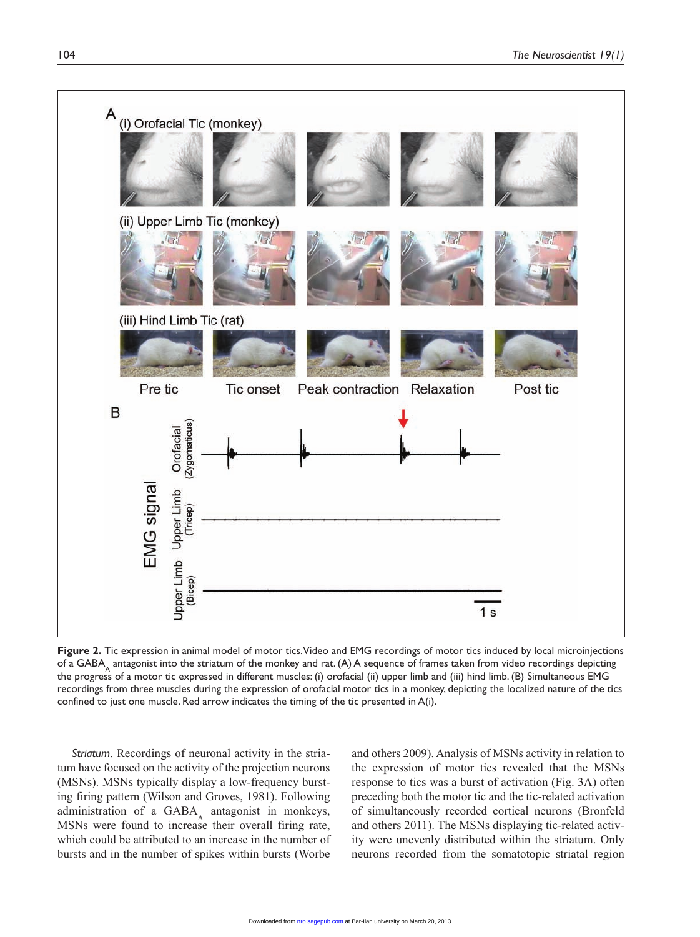

**Figure 2.** Tic expression in animal model of motor tics. Video and EMG recordings of motor tics induced by local microinjections of a GABA<sub>A</sub> antagonist into the striatum of the monkey and rat. (A) A sequence of frames taken from video recordings depicting the progress of a motor tic expressed in different muscles: (i) orofacial (ii) upper limb and (iii) hind limb. (B) Simultaneous EMG recordings from three muscles during the expression of orofacial motor tics in a monkey, depicting the localized nature of the tics confined to just one muscle. Red arrow indicates the timing of the tic presented in A(i).

*Striatum*. Recordings of neuronal activity in the striatum have focused on the activity of the projection neurons (MSNs). MSNs typically display a low-frequency bursting firing pattern (Wilson and Groves, 1981). Following administration of a  $GABA_A$  antagonist in monkeys, MSNs were found to increase their overall firing rate, which could be attributed to an increase in the number of bursts and in the number of spikes within bursts (Worbe

and others 2009). Analysis of MSNs activity in relation to the expression of motor tics revealed that the MSNs response to tics was a burst of activation (Fig. 3A) often preceding both the motor tic and the tic-related activation of simultaneously recorded cortical neurons (Bronfeld and others 2011). The MSNs displaying tic-related activity were unevenly distributed within the striatum. Only neurons recorded from the somatotopic striatal region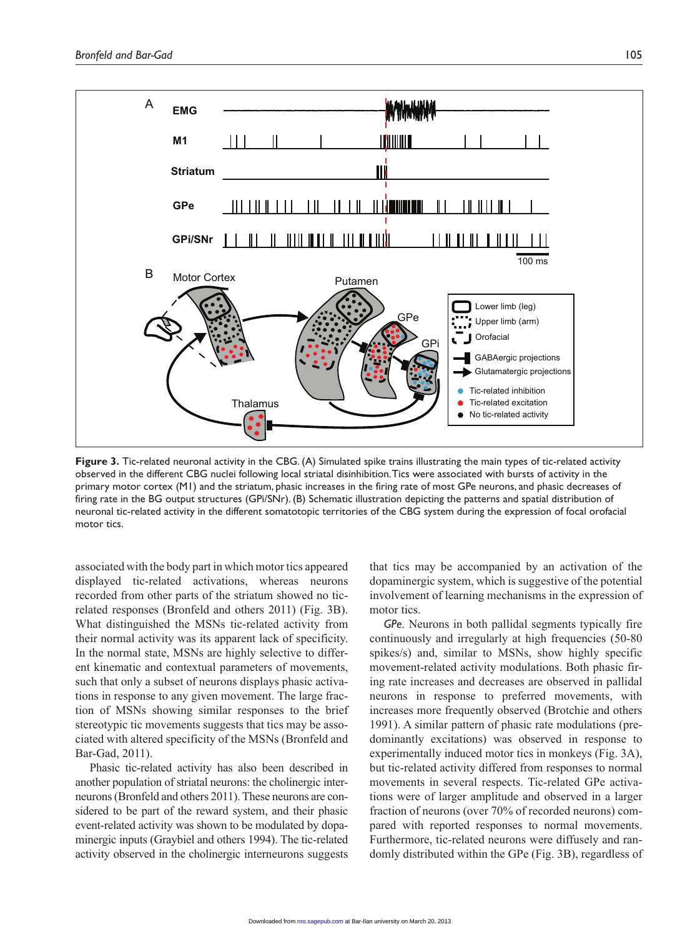

**Figure 3.** Tic-related neuronal activity in the CBG. (A) Simulated spike trains illustrating the main types of tic-related activity observed in the different CBG nuclei following local striatal disinhibition. Tics were associated with bursts of activity in the primary motor cortex (M1) and the striatum, phasic increases in the firing rate of most GPe neurons, and phasic decreases of firing rate in the BG output structures (GPi/SNr). (B) Schematic illustration depicting the patterns and spatial distribution of neuronal tic-related activity in the different somatotopic territories of the CBG system during the expression of focal orofacial motor tics.

associated with the body part in which motor tics appeared displayed tic-related activations, whereas neurons recorded from other parts of the striatum showed no ticrelated responses (Bronfeld and others 2011) (Fig. 3B). What distinguished the MSNs tic-related activity from their normal activity was its apparent lack of specificity. In the normal state, MSNs are highly selective to different kinematic and contextual parameters of movements, such that only a subset of neurons displays phasic activations in response to any given movement. The large fraction of MSNs showing similar responses to the brief stereotypic tic movements suggests that tics may be associated with altered specificity of the MSNs (Bronfeld and Bar-Gad, 2011).

Phasic tic-related activity has also been described in another population of striatal neurons: the cholinergic interneurons (Bronfeld and others 2011). These neurons are considered to be part of the reward system, and their phasic event-related activity was shown to be modulated by dopaminergic inputs (Graybiel and others 1994). The tic-related activity observed in the cholinergic interneurons suggests

that tics may be accompanied by an activation of the dopaminergic system, which is suggestive of the potential involvement of learning mechanisms in the expression of motor tics.

*GPe*. Neurons in both pallidal segments typically fire continuously and irregularly at high frequencies (50-80 spikes/s) and, similar to MSNs, show highly specific movement-related activity modulations. Both phasic firing rate increases and decreases are observed in pallidal neurons in response to preferred movements, with increases more frequently observed (Brotchie and others 1991). A similar pattern of phasic rate modulations (predominantly excitations) was observed in response to experimentally induced motor tics in monkeys (Fig. 3A), but tic-related activity differed from responses to normal movements in several respects. Tic-related GPe activations were of larger amplitude and observed in a larger fraction of neurons (over 70% of recorded neurons) compared with reported responses to normal movements. Furthermore, tic-related neurons were diffusely and randomly distributed within the GPe (Fig. 3B), regardless of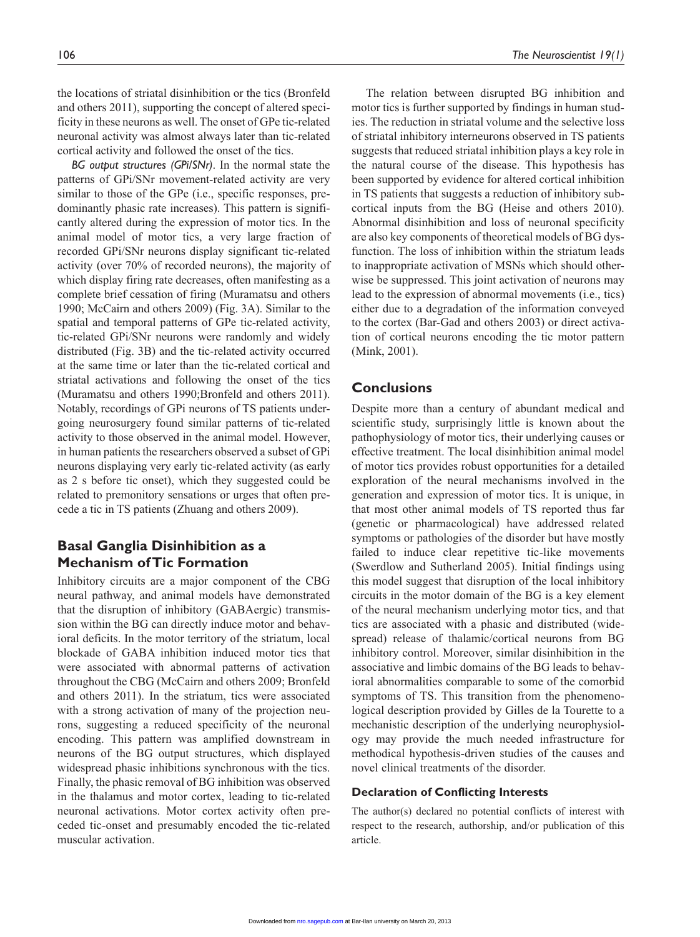the locations of striatal disinhibition or the tics (Bronfeld and others 2011), supporting the concept of altered specificity in these neurons as well. The onset of GPe tic-related neuronal activity was almost always later than tic-related cortical activity and followed the onset of the tics.

*BG output structures (GPi/SNr)*. In the normal state the patterns of GPi/SNr movement-related activity are very similar to those of the GPe (i.e., specific responses, predominantly phasic rate increases). This pattern is significantly altered during the expression of motor tics. In the animal model of motor tics, a very large fraction of recorded GPi/SNr neurons display significant tic-related activity (over 70% of recorded neurons), the majority of which display firing rate decreases, often manifesting as a complete brief cessation of firing (Muramatsu and others 1990; McCairn and others 2009) (Fig. 3A). Similar to the spatial and temporal patterns of GPe tic-related activity, tic-related GPi/SNr neurons were randomly and widely distributed (Fig. 3B) and the tic-related activity occurred at the same time or later than the tic-related cortical and striatal activations and following the onset of the tics (Muramatsu and others 1990;Bronfeld and others 2011). Notably, recordings of GPi neurons of TS patients undergoing neurosurgery found similar patterns of tic-related activity to those observed in the animal model. However, in human patients the researchers observed a subset of GPi neurons displaying very early tic-related activity (as early as 2 s before tic onset), which they suggested could be related to premonitory sensations or urges that often precede a tic in TS patients (Zhuang and others 2009).

# **Basal Ganglia Disinhibition as a Mechanism of Tic Formation**

Inhibitory circuits are a major component of the CBG neural pathway, and animal models have demonstrated that the disruption of inhibitory (GABAergic) transmission within the BG can directly induce motor and behavioral deficits. In the motor territory of the striatum, local blockade of GABA inhibition induced motor tics that were associated with abnormal patterns of activation throughout the CBG (McCairn and others 2009; Bronfeld and others 2011). In the striatum, tics were associated with a strong activation of many of the projection neurons, suggesting a reduced specificity of the neuronal encoding. This pattern was amplified downstream in neurons of the BG output structures, which displayed widespread phasic inhibitions synchronous with the tics. Finally, the phasic removal of BG inhibition was observed in the thalamus and motor cortex, leading to tic-related neuronal activations. Motor cortex activity often preceded tic-onset and presumably encoded the tic-related muscular activation.

The relation between disrupted BG inhibition and motor tics is further supported by findings in human studies. The reduction in striatal volume and the selective loss of striatal inhibitory interneurons observed in TS patients suggests that reduced striatal inhibition plays a key role in the natural course of the disease. This hypothesis has been supported by evidence for altered cortical inhibition in TS patients that suggests a reduction of inhibitory subcortical inputs from the BG (Heise and others 2010). Abnormal disinhibition and loss of neuronal specificity are also key components of theoretical models of BG dysfunction. The loss of inhibition within the striatum leads to inappropriate activation of MSNs which should otherwise be suppressed. This joint activation of neurons may lead to the expression of abnormal movements (i.e., tics) either due to a degradation of the information conveyed to the cortex (Bar-Gad and others 2003) or direct activation of cortical neurons encoding the tic motor pattern (Mink, 2001).

### **Conclusions**

Despite more than a century of abundant medical and scientific study, surprisingly little is known about the pathophysiology of motor tics, their underlying causes or effective treatment. The local disinhibition animal model of motor tics provides robust opportunities for a detailed exploration of the neural mechanisms involved in the generation and expression of motor tics. It is unique, in that most other animal models of TS reported thus far (genetic or pharmacological) have addressed related symptoms or pathologies of the disorder but have mostly failed to induce clear repetitive tic-like movements (Swerdlow and Sutherland 2005). Initial findings using this model suggest that disruption of the local inhibitory circuits in the motor domain of the BG is a key element of the neural mechanism underlying motor tics, and that tics are associated with a phasic and distributed (widespread) release of thalamic/cortical neurons from BG inhibitory control. Moreover, similar disinhibition in the associative and limbic domains of the BG leads to behavioral abnormalities comparable to some of the comorbid symptoms of TS. This transition from the phenomenological description provided by Gilles de la Tourette to a mechanistic description of the underlying neurophysiology may provide the much needed infrastructure for methodical hypothesis-driven studies of the causes and novel clinical treatments of the disorder.

### **Declaration of Conflicting Interests**

The author(s) declared no potential conflicts of interest with respect to the research, authorship, and/or publication of this article.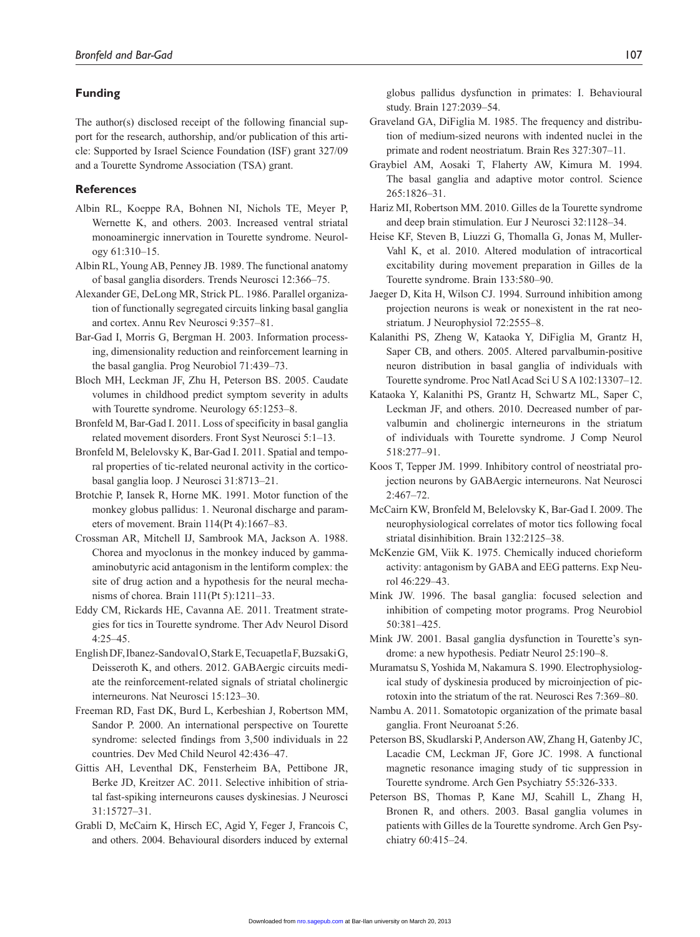### **Funding**

The author(s) disclosed receipt of the following financial support for the research, authorship, and/or publication of this article: Supported by Israel Science Foundation (ISF) grant 327/09 and a Tourette Syndrome Association (TSA) grant.

### **References**

- Albin RL, Koeppe RA, Bohnen NI, Nichols TE, Meyer P, Wernette K, and others. 2003. Increased ventral striatal monoaminergic innervation in Tourette syndrome. Neurology 61:310–15.
- Albin RL, Young AB, Penney JB. 1989. The functional anatomy of basal ganglia disorders. Trends Neurosci 12:366–75.
- Alexander GE, DeLong MR, Strick PL. 1986. Parallel organization of functionally segregated circuits linking basal ganglia and cortex. Annu Rev Neurosci 9:357–81.
- Bar-Gad I, Morris G, Bergman H. 2003. Information processing, dimensionality reduction and reinforcement learning in the basal ganglia. Prog Neurobiol 71:439–73.
- Bloch MH, Leckman JF, Zhu H, Peterson BS. 2005. Caudate volumes in childhood predict symptom severity in adults with Tourette syndrome. Neurology 65:1253–8.
- Bronfeld M, Bar-Gad I. 2011. Loss of specificity in basal ganglia related movement disorders. Front Syst Neurosci 5:1–13.
- Bronfeld M, Belelovsky K, Bar-Gad I. 2011. Spatial and temporal properties of tic-related neuronal activity in the corticobasal ganglia loop. J Neurosci 31:8713–21.
- Brotchie P, Iansek R, Horne MK. 1991. Motor function of the monkey globus pallidus: 1. Neuronal discharge and parameters of movement. Brain 114(Pt 4):1667–83.
- Crossman AR, Mitchell IJ, Sambrook MA, Jackson A. 1988. Chorea and myoclonus in the monkey induced by gammaaminobutyric acid antagonism in the lentiform complex: the site of drug action and a hypothesis for the neural mechanisms of chorea. Brain 111(Pt 5):1211–33.
- Eddy CM, Rickards HE, Cavanna AE. 2011. Treatment strategies for tics in Tourette syndrome. Ther Adv Neurol Disord 4:25–45.
- English DF, Ibanez-Sandoval O, Stark E, Tecuapetla F, Buzsaki G, Deisseroth K, and others. 2012. GABAergic circuits mediate the reinforcement-related signals of striatal cholinergic interneurons. Nat Neurosci 15:123–30.
- Freeman RD, Fast DK, Burd L, Kerbeshian J, Robertson MM, Sandor P. 2000. An international perspective on Tourette syndrome: selected findings from 3,500 individuals in 22 countries. Dev Med Child Neurol 42:436–47.
- Gittis AH, Leventhal DK, Fensterheim BA, Pettibone JR, Berke JD, Kreitzer AC. 2011. Selective inhibition of striatal fast-spiking interneurons causes dyskinesias. J Neurosci 31:15727–31.
- Grabli D, McCairn K, Hirsch EC, Agid Y, Feger J, Francois C, and others. 2004. Behavioural disorders induced by external

globus pallidus dysfunction in primates: I. Behavioural study. Brain 127:2039–54.

- Graveland GA, DiFiglia M. 1985. The frequency and distribution of medium-sized neurons with indented nuclei in the primate and rodent neostriatum. Brain Res 327:307–11.
- Graybiel AM, Aosaki T, Flaherty AW, Kimura M. 1994. The basal ganglia and adaptive motor control. Science 265:1826–31.
- Hariz MI, Robertson MM. 2010. Gilles de la Tourette syndrome and deep brain stimulation. Eur J Neurosci 32:1128–34.
- Heise KF, Steven B, Liuzzi G, Thomalla G, Jonas M, Muller-Vahl K, et al. 2010. Altered modulation of intracortical excitability during movement preparation in Gilles de la Tourette syndrome. Brain 133:580–90.
- Jaeger D, Kita H, Wilson CJ. 1994. Surround inhibition among projection neurons is weak or nonexistent in the rat neostriatum. J Neurophysiol 72:2555–8.
- Kalanithi PS, Zheng W, Kataoka Y, DiFiglia M, Grantz H, Saper CB, and others. 2005. Altered parvalbumin-positive neuron distribution in basal ganglia of individuals with Tourette syndrome. Proc Natl Acad Sci U S A 102:13307–12.
- Kataoka Y, Kalanithi PS, Grantz H, Schwartz ML, Saper C, Leckman JF, and others. 2010. Decreased number of parvalbumin and cholinergic interneurons in the striatum of individuals with Tourette syndrome. J Comp Neurol 518:277–91.
- Koos T, Tepper JM. 1999. Inhibitory control of neostriatal projection neurons by GABAergic interneurons. Nat Neurosci 2:467–72.
- McCairn KW, Bronfeld M, Belelovsky K, Bar-Gad I. 2009. The neurophysiological correlates of motor tics following focal striatal disinhibition. Brain 132:2125–38.
- McKenzie GM, Viik K. 1975. Chemically induced chorieform activity: antagonism by GABA and EEG patterns. Exp Neurol 46:229–43.
- Mink JW. 1996. The basal ganglia: focused selection and inhibition of competing motor programs. Prog Neurobiol 50:381–425.
- Mink JW. 2001. Basal ganglia dysfunction in Tourette's syndrome: a new hypothesis. Pediatr Neurol 25:190–8.
- Muramatsu S, Yoshida M, Nakamura S. 1990. Electrophysiological study of dyskinesia produced by microinjection of picrotoxin into the striatum of the rat. Neurosci Res 7:369–80.
- Nambu A. 2011. Somatotopic organization of the primate basal ganglia. Front Neuroanat 5:26.
- Peterson BS, Skudlarski P, Anderson AW, Zhang H, Gatenby JC, Lacadie CM, Leckman JF, Gore JC. 1998. A functional magnetic resonance imaging study of tic suppression in Tourette syndrome. Arch Gen Psychiatry 55:326-333.
- Peterson BS, Thomas P, Kane MJ, Scahill L, Zhang H, Bronen R, and others. 2003. Basal ganglia volumes in patients with Gilles de la Tourette syndrome. Arch Gen Psychiatry 60:415–24.